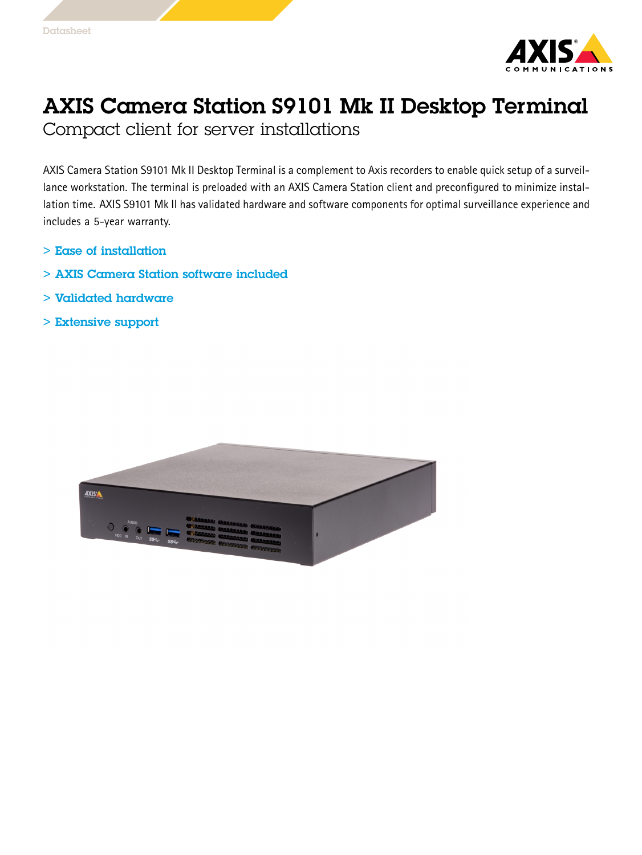

## AXIS Camera Station S9101 Mk II Desktop Terminal

Compact client for server installations

AXIS Camera Station S9101 Mk II Desktop Terminal is <sup>a</sup> complement to Axis recorders to enable quick setup of <sup>a</sup> surveillance workstation. The terminal is preloaded with an AXIS Camera Station client and preconfigured to minimize installation time. AXIS S9101 Mk II has validated hardware and software components for optimal surveillance experience and includes <sup>a</sup> 5-year warranty.

- > Ease of installation
- > AXIS Camera Station software included
- > Validated hardware
- > Extensive support